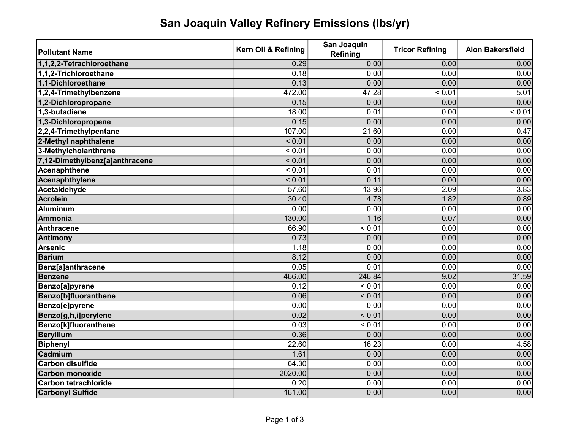## San Joaquin Valley Refinery Emissions (lbs/yr)

| <b>Pollutant Name</b>          | Kern Oil & Refining | San Joaquin<br><b>Refining</b> | <b>Tricor Refining</b> | <b>Alon Bakersfield</b> |
|--------------------------------|---------------------|--------------------------------|------------------------|-------------------------|
| 1,1,2,2-Tetrachloroethane      | 0.29                | 0.00                           | 0.00                   | 0.00                    |
| 1,1,2-Trichloroethane          | 0.18                | 0.00                           | 0.00                   | 0.00                    |
| 1.1-Dichloroethane             | 0.13                | 0.00                           | 0.00                   | 0.00                    |
| 1,2,4-Trimethylbenzene         | 472.00              | 47.28                          | < 0.01                 | 5.01                    |
| 1,2-Dichloropropane            | 0.15                | 0.00                           | 0.00                   | 0.00                    |
| 1,3-butadiene                  | 18.00               | 0.01                           | 0.00                   | < 0.01                  |
| 1,3-Dichloropropene            | 0.15                | 0.00                           | 0.00                   | 0.00                    |
| 2,2,4-Trimethylpentane         | 107.00              | 21.60                          | 0.00                   | 0.47                    |
| 2-Methyl naphthalene           | < 0.01              | 0.00                           | 0.00                   | 0.00                    |
| 3-Methylcholanthrene           | < 0.01              | 0.00                           | 0.00                   | 0.00                    |
| 7,12-Dimethylbenz[a]anthracene | < 0.01              | 0.00                           | 0.00                   | 0.00                    |
| Acenaphthene                   | < 0.01              | 0.01                           | 0.00                   | 0.00                    |
| Acenaphthylene                 | < 0.01              | 0.11                           | 0.00                   | 0.00                    |
| Acetaldehyde                   | 57.60               | 13.96                          | 2.09                   | 3.83                    |
| <b>Acrolein</b>                | 30.40               | 4.78                           | 1.82                   | 0.89                    |
| <b>Aluminum</b>                | 0.00                | 0.00                           | 0.00                   | 0.00                    |
| Ammonia                        | 130.00              | 1.16                           | 0.07                   | 0.00                    |
| <b>Anthracene</b>              | 66.90               | < 0.01                         | 0.00                   | 0.00                    |
| Antimony                       | 0.73                | 0.00                           | 0.00                   | 0.00                    |
| <b>Arsenic</b>                 | 1.18                | 0.00                           | 0.00                   | 0.00                    |
| <b>Barium</b>                  | 8.12                | 0.00                           | 0.00                   | 0.00                    |
| Benz[a]anthracene              | 0.05                | 0.01                           | 0.00                   | 0.00                    |
| <b>Benzene</b>                 | 466.00              | 246.84                         | 9.02                   | 31.59                   |
| <b>Benzo[a]pyrene</b>          | $0.\overline{12}$   | < 0.01                         | 0.00                   | 0.00                    |
| <b>Benzo[b]fluoranthene</b>    | 0.06                | < 0.01                         | 0.00                   | 0.00                    |
| <b>Benzo[e]pyrene</b>          | 0.00                | 0.00                           | 0.00                   | 0.00                    |
| Benzo[g,h,i]perylene           | 0.02                | < 0.01                         | 0.00                   | 0.00                    |
| <b>Benzo[k]fluoranthene</b>    | 0.03                | $\frac{1}{6}$ < 0.01           | 0.00                   | 0.00                    |
| <b>Beryllium</b>               | 0.36                | 0.00                           | 0.00                   | 0.00                    |
| <b>Biphenyl</b>                | 22.60               | 16.23                          | 0.00                   | 4.58                    |
| Cadmium                        | 1.61                | 0.00                           | 0.00                   | 0.00                    |
| <b>Carbon disulfide</b>        | 64.30               | 0.00                           | 0.00                   | 0.00                    |
| <b>Carbon monoxide</b>         | 2020.00             | 0.00                           | 0.00                   | 0.00                    |
| <b>Carbon tetrachloride</b>    | 0.20                | 0.00                           | 0.00                   | 0.00                    |
| <b>Carbonyl Sulfide</b>        | 161.00              | 0.00                           | 0.00                   | 0.00                    |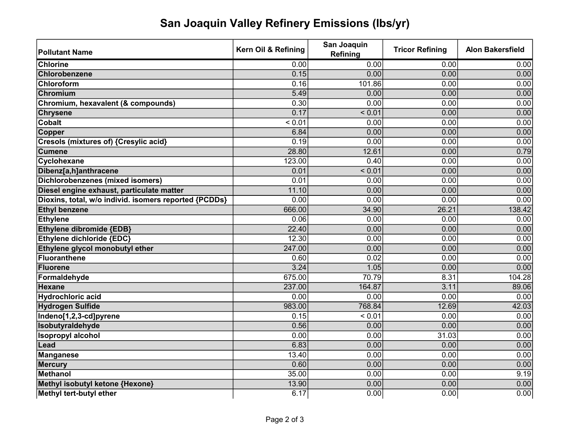## San Joaquin Valley Refinery Emissions (lbs/yr)

| <b>Pollutant Name</b>                                 | Kern Oil & Refining | San Joaquin<br><b>Refining</b> | <b>Tricor Refining</b> | <b>Alon Bakersfield</b> |
|-------------------------------------------------------|---------------------|--------------------------------|------------------------|-------------------------|
| <b>Chlorine</b>                                       | 0.00                | 0.00                           | 0.00                   | 0.00                    |
| Chlorobenzene                                         | 0.15                | 0.00                           | 0.00                   | 0.00                    |
| Chloroform                                            | 0.16                | 101.86                         | 0.00                   | 0.00                    |
| Chromium                                              | 5.49                | 0.00                           | 0.00                   | 0.00                    |
| Chromium, hexavalent (& compounds)                    | 0.30                | 0.00                           | 0.00                   | 0.00                    |
| <b>Chrysene</b>                                       | 0.17                | < 0.01                         | 0.00                   | 0.00                    |
| <b>Cobalt</b>                                         | < 0.01              | 0.00                           | 0.00                   | 0.00                    |
| Copper                                                | 6.84                | 0.00                           | 0.00                   | 0.00                    |
| Cresols (mixtures of) {Cresylic acid}                 | 0.19                | 0.00                           | 0.00                   | 0.00                    |
| <b>Cumene</b>                                         | 28.80               | 12.61                          | 0.00                   | 0.79                    |
| Cyclohexane                                           | 123.00              | 0.40                           | 0.00                   | 0.00                    |
| Dibenz[a,h]anthracene                                 | 0.01                | < 0.01                         | 0.00                   | 0.00                    |
| <b>Dichlorobenzenes (mixed isomers)</b>               | 0.01                | 0.00                           | 0.00                   | 0.00                    |
| Diesel engine exhaust, particulate matter             | 11.10               | 0.00                           | 0.00                   | 0.00                    |
| Dioxins, total, w/o individ. isomers reported {PCDDs} | 0.00                | 0.00                           | 0.00                   | 0.00                    |
| <b>Ethyl benzene</b>                                  | 666.00              | 34.90                          | 26.21                  | 138.42                  |
| <b>Ethylene</b>                                       | 0.06                | 0.00                           | 0.00                   | 0.00                    |
| Ethylene dibromide {EDB}                              | 22.40               | 0.00                           | 0.00                   | 0.00                    |
| Ethylene dichloride {EDC}                             | 12.30               | 0.00                           | 0.00                   | 0.00                    |
| Ethylene glycol monobutyl ether                       | 247.00              | 0.00                           | 0.00                   | 0.00                    |
| <b>Fluoranthene</b>                                   | 0.60                | 0.02                           | 0.00                   | 0.00                    |
| <b>Fluorene</b>                                       | 3.24                | 1.05                           | 0.00                   | 0.00                    |
| Formaldehyde                                          | 675.00              | 70.79                          | 8.31                   | 104.28                  |
| <b>Hexane</b>                                         | 237.00              | 164.87                         | 3.11                   | 89.06                   |
| <b>Hydrochloric acid</b>                              | 0.00                | 0.00                           | 0.00                   | 0.00                    |
| <b>Hydrogen Sulfide</b>                               | 983.00              | 768.84                         | 12.69                  | 42.03                   |
| Indeno[1,2,3-cd]pyrene                                | 0.15                | < 0.01                         | 0.00                   | 0.00                    |
| Isobutyraldehyde                                      | 0.56                | 0.00                           | 0.00                   | 0.00                    |
| <b>Isopropyl alcohol</b>                              | 0.00                | 0.00                           | 31.03                  | 0.00                    |
| Lead                                                  | 6.83                | 0.00                           | 0.00                   | 0.00                    |
| <b>Manganese</b>                                      | 13.40               | 0.00                           | 0.00                   | 0.00                    |
| <b>Mercury</b>                                        | 0.60                | 0.00                           | 0.00                   | 0.00                    |
| <b>Methanol</b>                                       | 35.00               | 0.00                           | 0.00                   | 9.19                    |
| Methyl isobutyl ketone {Hexone}                       | 13.90               | 0.00                           | 0.00                   | 0.00                    |
| Methyl tert-butyl ether                               | 6.17                | 0.00                           | 0.00                   | 0.00                    |